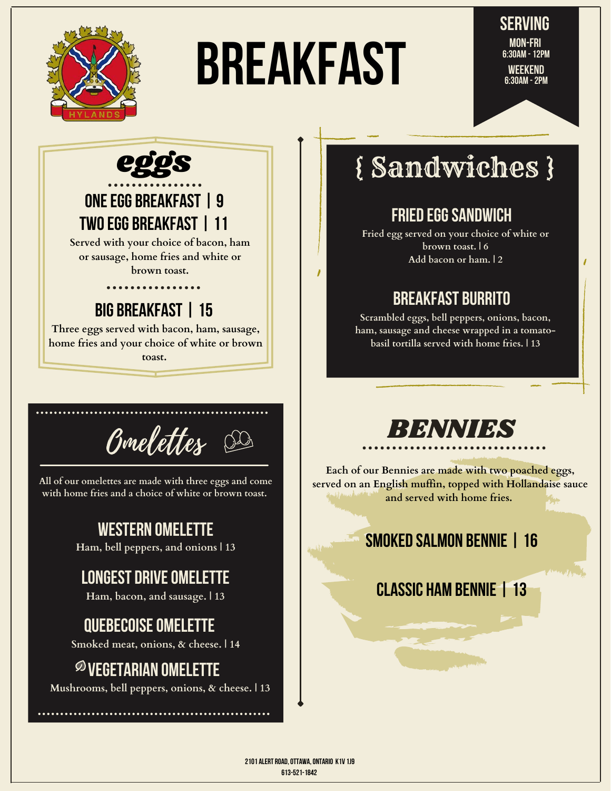

# Breakfast

**Serving 6:30AM - 12pm Mon-Fri Weekend 6:30AM - 2pm**



#### **One egg breakfast | 9 two egg breakfast | 11**

**Served with your choice of bacon, ham or sausage, home fries and white or brown toast.**

. . . . . . . . . . . . . .

#### **big breakfast | 15**

**Three eggs served with bacon, ham, sausage, home fries and your choice of white or brown toast.**



**All of our omelettes are made with three eggs and come with home fries and a choice of white or brown toast.**

#### **western omelette**

**Ham, bell peppers, and onions | 13**

#### **Longest drive omelette**

**Ham, bacon, and sausage. | 13**

#### **quebecoise omelette**

**Smoked meat, onions, & cheese. | 14**

#### **Vegetarian omelette**

**Mushrooms, bell peppers, onions, & cheese. | 13**

## { Sandwiches }

#### **Fried Egg Sandwich**

**Fried egg served on your choice of white or brown toast. | 6 Add bacon or ham. | 2**

#### **Breakfast Burrito**

**Scrambled eggs, bell peppers, onions, bacon, ham, sausage and cheese wrapped in a tomatobasil tortilla served with home fries. | 13**

## BENNIES

**Each of our Bennies are made with two poached eggs, served on an English muffin, topped with Hollandaise sauce and served with home fries.**

#### **Smoked salmon bennie | 16**

#### **classic ham bennie | 13**